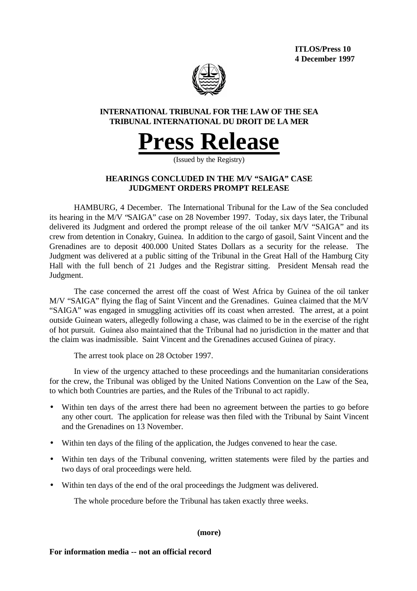**ITLOS/Press 10 4 December 1997**



# **INTERNATIONAL TRIBUNAL FOR THE LAW OF THE SEA TRIBUNAL INTERNATIONAL DU DROIT DE LA MER**



(Issued by the Registry)

# **HEARINGS CONCLUDED IN THE M/V "SAIGA" CASE JUDGMENT ORDERS PROMPT RELEASE**

HAMBURG, 4 December. The International Tribunal for the Law of the Sea concluded its hearing in the M/V "SAIGA" case on 28 November 1997. Today, six days later, the Tribunal delivered its Judgment and ordered the prompt release of the oil tanker M/V "SAIGA" and its crew from detention in Conakry, Guinea. In addition to the cargo of gasoil, Saint Vincent and the Grenadines are to deposit 400.000 United States Dollars as a security for the release. The Judgment was delivered at a public sitting of the Tribunal in the Great Hall of the Hamburg City Hall with the full bench of 21 Judges and the Registrar sitting. President Mensah read the Judgment.

The case concerned the arrest off the coast of West Africa by Guinea of the oil tanker M/V "SAIGA" flying the flag of Saint Vincent and the Grenadines. Guinea claimed that the M/V "SAIGA" was engaged in smuggling activities off its coast when arrested. The arrest, at a point outside Guinean waters, allegedly following a chase, was claimed to be in the exercise of the right of hot pursuit. Guinea also maintained that the Tribunal had no jurisdiction in the matter and that the claim was inadmissible. Saint Vincent and the Grenadines accused Guinea of piracy.

The arrest took place on 28 October 1997.

In view of the urgency attached to these proceedings and the humanitarian considerations for the crew, the Tribunal was obliged by the United Nations Convention on the Law of the Sea, to which both Countries are parties, and the Rules of the Tribunal to act rapidly.

- Within ten days of the arrest there had been no agreement between the parties to go before any other court. The application for release was then filed with the Tribunal by Saint Vincent and the Grenadines on 13 November.
- Within ten days of the filing of the application, the Judges convened to hear the case.
- Within ten days of the Tribunal convening, written statements were filed by the parties and two days of oral proceedings were held.
- Within ten days of the end of the oral proceedings the Judgment was delivered.

The whole procedure before the Tribunal has taken exactly three weeks.

**(more)**

## **For information media -- not an official record**